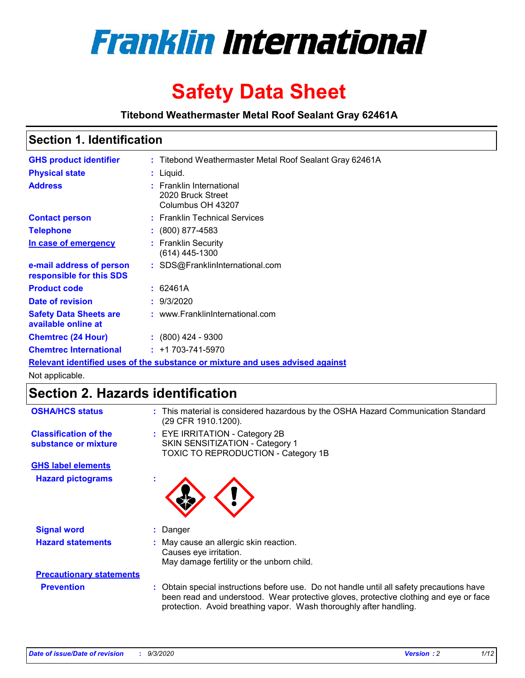

# **Safety Data Sheet**

**Titebond Weathermaster Metal Roof Sealant Gray 62461A**

### **Section 1. Identification**

| <b>GHS product identifier</b>                                                 |  | : Titebond Weathermaster Metal Roof Sealant Gray 62461A            |  |  |
|-------------------------------------------------------------------------------|--|--------------------------------------------------------------------|--|--|
| <b>Physical state</b>                                                         |  | : Liquid.                                                          |  |  |
| <b>Address</b>                                                                |  | : Franklin International<br>2020 Bruck Street<br>Columbus OH 43207 |  |  |
| <b>Contact person</b>                                                         |  | : Franklin Technical Services                                      |  |  |
| <b>Telephone</b>                                                              |  | $\div$ (800) 877-4583                                              |  |  |
| In case of emergency                                                          |  | : Franklin Security<br>(614) 445-1300                              |  |  |
| e-mail address of person<br>responsible for this SDS                          |  | : SDS@FranklinInternational.com                                    |  |  |
| <b>Product code</b>                                                           |  | : 62461A                                                           |  |  |
| Date of revision                                                              |  | : 9/3/2020                                                         |  |  |
| <b>Safety Data Sheets are</b><br>available online at                          |  | : www.FranklinInternational.com                                    |  |  |
| <b>Chemtrec (24 Hour)</b>                                                     |  | $: (800)$ 424 - 9300                                               |  |  |
| <b>Chemtrec International</b>                                                 |  | $: +1703 - 741 - 5970$                                             |  |  |
| Relevant identified uses of the substance or mixture and uses advised against |  |                                                                    |  |  |

Not applicable.

### **Section 2. Hazards identification**

| <b>OSHA/HCS status</b>                               |    | : This material is considered hazardous by the OSHA Hazard Communication Standard<br>(29 CFR 1910.1200).                                                                                                                                                 |
|------------------------------------------------------|----|----------------------------------------------------------------------------------------------------------------------------------------------------------------------------------------------------------------------------------------------------------|
| <b>Classification of the</b><br>substance or mixture |    | : EYE IRRITATION - Category 2B<br>SKIN SENSITIZATION - Category 1<br>TOXIC TO REPRODUCTION - Category 1B                                                                                                                                                 |
| <b>GHS label elements</b>                            |    |                                                                                                                                                                                                                                                          |
| <b>Hazard pictograms</b>                             | ×. |                                                                                                                                                                                                                                                          |
| <b>Signal word</b>                                   | ÷. | Danger                                                                                                                                                                                                                                                   |
| <b>Hazard statements</b>                             |    | May cause an allergic skin reaction.<br>Causes eye irritation.<br>May damage fertility or the unborn child.                                                                                                                                              |
| <b>Precautionary statements</b>                      |    |                                                                                                                                                                                                                                                          |
| <b>Prevention</b>                                    |    | : Obtain special instructions before use. Do not handle until all safety precautions have<br>been read and understood. Wear protective gloves, protective clothing and eye or face<br>protection. Avoid breathing vapor. Wash thoroughly after handling. |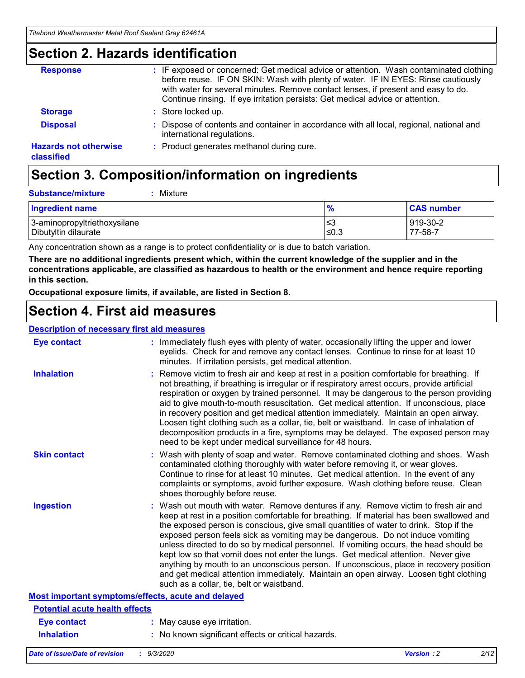### **Section 2. Hazards identification**

| <b>Response</b>                            | : IF exposed or concerned: Get medical advice or attention. Wash contaminated clothing<br>before reuse. IF ON SKIN: Wash with plenty of water. IF IN EYES: Rinse cautiously<br>with water for several minutes. Remove contact lenses, if present and easy to do.<br>Continue rinsing. If eye irritation persists: Get medical advice or attention. |
|--------------------------------------------|----------------------------------------------------------------------------------------------------------------------------------------------------------------------------------------------------------------------------------------------------------------------------------------------------------------------------------------------------|
| <b>Storage</b>                             | : Store locked up.                                                                                                                                                                                                                                                                                                                                 |
| <b>Disposal</b>                            | : Dispose of contents and container in accordance with all local, regional, national and<br>international regulations.                                                                                                                                                                                                                             |
| <b>Hazards not otherwise</b><br>classified | : Product generates methanol during cure.                                                                                                                                                                                                                                                                                                          |

## **Section 3. Composition/information on ingredients**

| <b>Substance/mixture</b> | : Mixture |
|--------------------------|-----------|
|                          |           |

| <b>Ingredient name</b>       | $\mathbf{0}$<br>70 | <b>CAS number</b> |
|------------------------------|--------------------|-------------------|
| 3-aminopropyltriethoxysilane | צ≥                 | 919-30-2          |
| Dibutyltin dilaurate         | ∣≤0.3              | 77-58-7           |

Any concentration shown as a range is to protect confidentiality or is due to batch variation.

**There are no additional ingredients present which, within the current knowledge of the supplier and in the concentrations applicable, are classified as hazardous to health or the environment and hence require reporting in this section.**

**Occupational exposure limits, if available, are listed in Section 8.**

### **Section 4. First aid measures**

| <b>Description of necessary first aid measures</b> |                                                                                                                                                                                                                                                                                                                                                                                                                                                                                                                                                                                                                                                                                                                                                                           |
|----------------------------------------------------|---------------------------------------------------------------------------------------------------------------------------------------------------------------------------------------------------------------------------------------------------------------------------------------------------------------------------------------------------------------------------------------------------------------------------------------------------------------------------------------------------------------------------------------------------------------------------------------------------------------------------------------------------------------------------------------------------------------------------------------------------------------------------|
| <b>Eye contact</b>                                 | : Immediately flush eyes with plenty of water, occasionally lifting the upper and lower<br>eyelids. Check for and remove any contact lenses. Continue to rinse for at least 10<br>minutes. If irritation persists, get medical attention.                                                                                                                                                                                                                                                                                                                                                                                                                                                                                                                                 |
| <b>Inhalation</b>                                  | : Remove victim to fresh air and keep at rest in a position comfortable for breathing. If<br>not breathing, if breathing is irregular or if respiratory arrest occurs, provide artificial<br>respiration or oxygen by trained personnel. It may be dangerous to the person providing<br>aid to give mouth-to-mouth resuscitation. Get medical attention. If unconscious, place<br>in recovery position and get medical attention immediately. Maintain an open airway.<br>Loosen tight clothing such as a collar, tie, belt or waistband. In case of inhalation of<br>decomposition products in a fire, symptoms may be delayed. The exposed person may<br>need to be kept under medical surveillance for 48 hours.                                                       |
| <b>Skin contact</b>                                | : Wash with plenty of soap and water. Remove contaminated clothing and shoes. Wash<br>contaminated clothing thoroughly with water before removing it, or wear gloves.<br>Continue to rinse for at least 10 minutes. Get medical attention. In the event of any<br>complaints or symptoms, avoid further exposure. Wash clothing before reuse. Clean<br>shoes thoroughly before reuse.                                                                                                                                                                                                                                                                                                                                                                                     |
| <b>Ingestion</b>                                   | : Wash out mouth with water. Remove dentures if any. Remove victim to fresh air and<br>keep at rest in a position comfortable for breathing. If material has been swallowed and<br>the exposed person is conscious, give small quantities of water to drink. Stop if the<br>exposed person feels sick as vomiting may be dangerous. Do not induce vomiting<br>unless directed to do so by medical personnel. If vomiting occurs, the head should be<br>kept low so that vomit does not enter the lungs. Get medical attention. Never give<br>anything by mouth to an unconscious person. If unconscious, place in recovery position<br>and get medical attention immediately. Maintain an open airway. Loosen tight clothing<br>such as a collar, tie, belt or waistband. |
| Most important symptoms/effects, acute and delayed |                                                                                                                                                                                                                                                                                                                                                                                                                                                                                                                                                                                                                                                                                                                                                                           |
| <b>Potential acute health effects</b>              |                                                                                                                                                                                                                                                                                                                                                                                                                                                                                                                                                                                                                                                                                                                                                                           |
| <b>Eye contact</b>                                 | : May cause eye irritation.                                                                                                                                                                                                                                                                                                                                                                                                                                                                                                                                                                                                                                                                                                                                               |
| <b>Inhalation</b>                                  | : No known significant effects or critical hazards.                                                                                                                                                                                                                                                                                                                                                                                                                                                                                                                                                                                                                                                                                                                       |
|                                                    |                                                                                                                                                                                                                                                                                                                                                                                                                                                                                                                                                                                                                                                                                                                                                                           |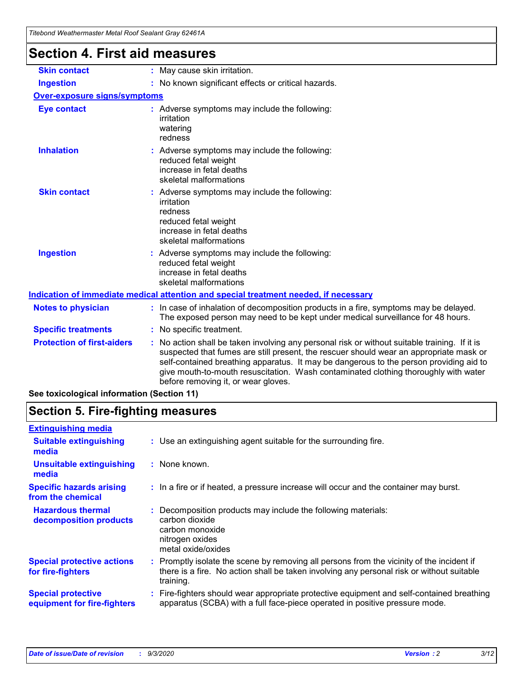| l itebond Weathermaster Metal Roof Sealant Gray 62461A |                                                                                                                                                                                                                                                                                                                                                                                                                 |
|--------------------------------------------------------|-----------------------------------------------------------------------------------------------------------------------------------------------------------------------------------------------------------------------------------------------------------------------------------------------------------------------------------------------------------------------------------------------------------------|
| <b>Section 4. First aid measures</b>                   |                                                                                                                                                                                                                                                                                                                                                                                                                 |
| <b>Skin contact</b>                                    | : May cause skin irritation.                                                                                                                                                                                                                                                                                                                                                                                    |
| <b>Ingestion</b>                                       | : No known significant effects or critical hazards.                                                                                                                                                                                                                                                                                                                                                             |
| <b>Over-exposure signs/symptoms</b>                    |                                                                                                                                                                                                                                                                                                                                                                                                                 |
| <b>Eye contact</b>                                     | : Adverse symptoms may include the following:<br>irritation<br>watering<br>redness                                                                                                                                                                                                                                                                                                                              |
| <b>Inhalation</b>                                      | : Adverse symptoms may include the following:<br>reduced fetal weight<br>increase in fetal deaths<br>skeletal malformations                                                                                                                                                                                                                                                                                     |
| <b>Skin contact</b>                                    | : Adverse symptoms may include the following:<br>irritation<br>redness<br>reduced fetal weight<br>increase in fetal deaths<br>skeletal malformations                                                                                                                                                                                                                                                            |
| <b>Ingestion</b>                                       | : Adverse symptoms may include the following:<br>reduced fetal weight<br>increase in fetal deaths<br>skeletal malformations                                                                                                                                                                                                                                                                                     |
|                                                        | Indication of immediate medical attention and special treatment needed, if necessary                                                                                                                                                                                                                                                                                                                            |
| <b>Notes to physician</b>                              | : In case of inhalation of decomposition products in a fire, symptoms may be delayed.<br>The exposed person may need to be kept under medical surveillance for 48 hours.                                                                                                                                                                                                                                        |
| <b>Specific treatments</b>                             | : No specific treatment.                                                                                                                                                                                                                                                                                                                                                                                        |
| <b>Protection of first-aiders</b>                      | : No action shall be taken involving any personal risk or without suitable training. If it is<br>suspected that fumes are still present, the rescuer should wear an appropriate mask or<br>self-contained breathing apparatus. It may be dangerous to the person providing aid to<br>give mouth-to-mouth resuscitation. Wash contaminated clothing thoroughly with water<br>before removing it, or wear gloves. |

**See toxicological information (Section 11)**

### **Section 5. Fire-fighting measures**

| <b>Extinguishing media</b>                               |                                                                                                                                                                                                     |
|----------------------------------------------------------|-----------------------------------------------------------------------------------------------------------------------------------------------------------------------------------------------------|
| <b>Suitable extinguishing</b><br>media                   | : Use an extinguishing agent suitable for the surrounding fire.                                                                                                                                     |
| <b>Unsuitable extinguishing</b><br>media                 | $:$ None known.                                                                                                                                                                                     |
| <b>Specific hazards arising</b><br>from the chemical     | : In a fire or if heated, a pressure increase will occur and the container may burst.                                                                                                               |
| <b>Hazardous thermal</b><br>decomposition products       | Decomposition products may include the following materials:<br>carbon dioxide<br>carbon monoxide<br>nitrogen oxides<br>metal oxide/oxides                                                           |
| <b>Special protective actions</b><br>for fire-fighters   | : Promptly isolate the scene by removing all persons from the vicinity of the incident if<br>there is a fire. No action shall be taken involving any personal risk or without suitable<br>training. |
| <b>Special protective</b><br>equipment for fire-fighters | Fire-fighters should wear appropriate protective equipment and self-contained breathing<br>apparatus (SCBA) with a full face-piece operated in positive pressure mode.                              |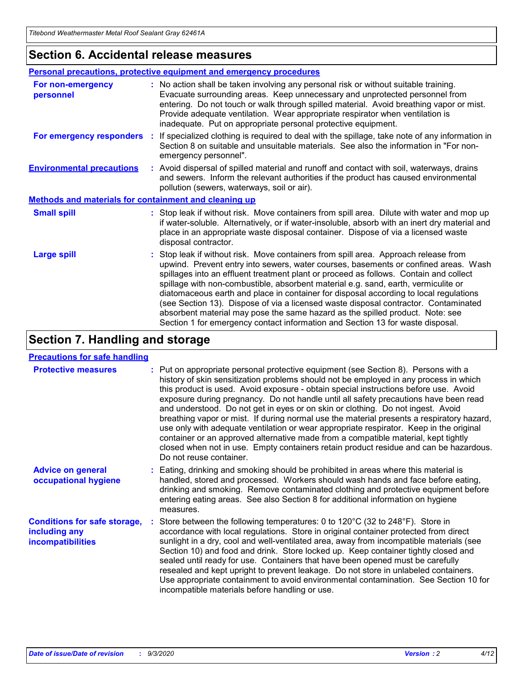### **Section 6. Accidental release measures**

|                                                              | Personal precautions, protective equipment and emergency procedures                                                                                                                                                                                                                                                                                                                                                                                                                                                                                                                                                                                                                                          |  |  |  |
|--------------------------------------------------------------|--------------------------------------------------------------------------------------------------------------------------------------------------------------------------------------------------------------------------------------------------------------------------------------------------------------------------------------------------------------------------------------------------------------------------------------------------------------------------------------------------------------------------------------------------------------------------------------------------------------------------------------------------------------------------------------------------------------|--|--|--|
| For non-emergency<br>personnel                               | : No action shall be taken involving any personal risk or without suitable training.<br>Evacuate surrounding areas. Keep unnecessary and unprotected personnel from<br>entering. Do not touch or walk through spilled material. Avoid breathing vapor or mist.<br>Provide adequate ventilation. Wear appropriate respirator when ventilation is<br>inadequate. Put on appropriate personal protective equipment.                                                                                                                                                                                                                                                                                             |  |  |  |
| For emergency responders                                     | : If specialized clothing is required to deal with the spillage, take note of any information in<br>Section 8 on suitable and unsuitable materials. See also the information in "For non-<br>emergency personnel".                                                                                                                                                                                                                                                                                                                                                                                                                                                                                           |  |  |  |
| <b>Environmental precautions</b>                             | : Avoid dispersal of spilled material and runoff and contact with soil, waterways, drains<br>and sewers. Inform the relevant authorities if the product has caused environmental<br>pollution (sewers, waterways, soil or air).                                                                                                                                                                                                                                                                                                                                                                                                                                                                              |  |  |  |
| <b>Methods and materials for containment and cleaning up</b> |                                                                                                                                                                                                                                                                                                                                                                                                                                                                                                                                                                                                                                                                                                              |  |  |  |
| <b>Small spill</b>                                           | : Stop leak if without risk. Move containers from spill area. Dilute with water and mop up<br>if water-soluble. Alternatively, or if water-insoluble, absorb with an inert dry material and<br>place in an appropriate waste disposal container. Dispose of via a licensed waste<br>disposal contractor.                                                                                                                                                                                                                                                                                                                                                                                                     |  |  |  |
| <b>Large spill</b>                                           | : Stop leak if without risk. Move containers from spill area. Approach release from<br>upwind. Prevent entry into sewers, water courses, basements or confined areas. Wash<br>spillages into an effluent treatment plant or proceed as follows. Contain and collect<br>spillage with non-combustible, absorbent material e.g. sand, earth, vermiculite or<br>diatomaceous earth and place in container for disposal according to local regulations<br>(see Section 13). Dispose of via a licensed waste disposal contractor. Contaminated<br>absorbent material may pose the same hazard as the spilled product. Note: see<br>Section 1 for emergency contact information and Section 13 for waste disposal. |  |  |  |

### **Section 7. Handling and storage**

#### **Precautions for safe handling**

| <b>Protective measures</b>                                                       | : Put on appropriate personal protective equipment (see Section 8). Persons with a<br>history of skin sensitization problems should not be employed in any process in which<br>this product is used. Avoid exposure - obtain special instructions before use. Avoid<br>exposure during pregnancy. Do not handle until all safety precautions have been read<br>and understood. Do not get in eyes or on skin or clothing. Do not ingest. Avoid<br>breathing vapor or mist. If during normal use the material presents a respiratory hazard,<br>use only with adequate ventilation or wear appropriate respirator. Keep in the original<br>container or an approved alternative made from a compatible material, kept tightly<br>closed when not in use. Empty containers retain product residue and can be hazardous.<br>Do not reuse container. |
|----------------------------------------------------------------------------------|--------------------------------------------------------------------------------------------------------------------------------------------------------------------------------------------------------------------------------------------------------------------------------------------------------------------------------------------------------------------------------------------------------------------------------------------------------------------------------------------------------------------------------------------------------------------------------------------------------------------------------------------------------------------------------------------------------------------------------------------------------------------------------------------------------------------------------------------------|
| <b>Advice on general</b><br>occupational hygiene                                 | : Eating, drinking and smoking should be prohibited in areas where this material is<br>handled, stored and processed. Workers should wash hands and face before eating,<br>drinking and smoking. Remove contaminated clothing and protective equipment before<br>entering eating areas. See also Section 8 for additional information on hygiene<br>measures.                                                                                                                                                                                                                                                                                                                                                                                                                                                                                    |
| <b>Conditions for safe storage,</b><br>including any<br><i>incompatibilities</i> | Store between the following temperatures: 0 to $120^{\circ}$ C (32 to $248^{\circ}$ F). Store in<br>accordance with local regulations. Store in original container protected from direct<br>sunlight in a dry, cool and well-ventilated area, away from incompatible materials (see<br>Section 10) and food and drink. Store locked up. Keep container tightly closed and<br>sealed until ready for use. Containers that have been opened must be carefully<br>resealed and kept upright to prevent leakage. Do not store in unlabeled containers.<br>Use appropriate containment to avoid environmental contamination. See Section 10 for<br>incompatible materials before handling or use.                                                                                                                                                     |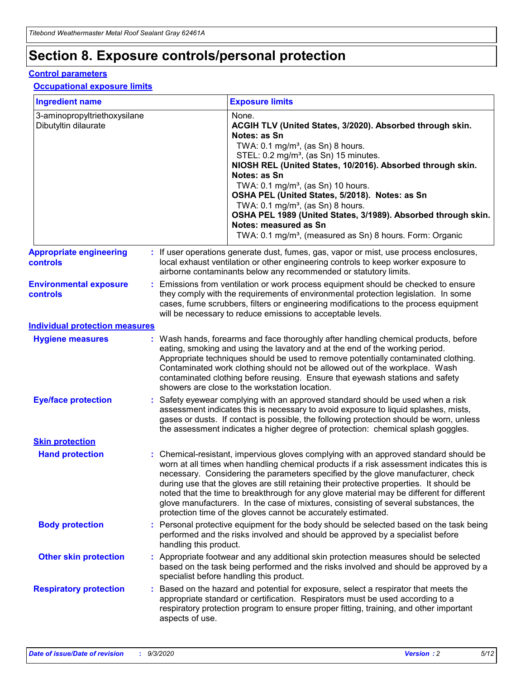# **Section 8. Exposure controls/personal protection**

#### **Control parameters**

#### **Occupational exposure limits**

| <b>Ingredient name</b>                               |    |                        | <b>Exposure limits</b>                                                                                                                                                                                                                                                                                                                                                                                                                                                                                                                                                                                                 |
|------------------------------------------------------|----|------------------------|------------------------------------------------------------------------------------------------------------------------------------------------------------------------------------------------------------------------------------------------------------------------------------------------------------------------------------------------------------------------------------------------------------------------------------------------------------------------------------------------------------------------------------------------------------------------------------------------------------------------|
| 3-aminopropyltriethoxysilane<br>Dibutyltin dilaurate |    |                        | None.<br>ACGIH TLV (United States, 3/2020). Absorbed through skin.<br>Notes: as Sn<br>TWA: $0.1 \text{ mg/m}^3$ , (as Sn) 8 hours.<br>STEL: 0.2 mg/m <sup>3</sup> , (as Sn) 15 minutes.<br>NIOSH REL (United States, 10/2016). Absorbed through skin.<br>Notes: as Sn<br>TWA: 0.1 mg/m <sup>3</sup> , (as Sn) 10 hours.<br>OSHA PEL (United States, 5/2018). Notes: as Sn<br>TWA: $0.1 \text{ mg/m}^3$ , (as Sn) 8 hours.<br>OSHA PEL 1989 (United States, 3/1989). Absorbed through skin.<br>Notes: measured as Sn<br>TWA: 0.1 mg/m <sup>3</sup> , (measured as Sn) 8 hours. Form: Organic                            |
| <b>Appropriate engineering</b><br>controls           |    |                        | : If user operations generate dust, fumes, gas, vapor or mist, use process enclosures,<br>local exhaust ventilation or other engineering controls to keep worker exposure to<br>airborne contaminants below any recommended or statutory limits.                                                                                                                                                                                                                                                                                                                                                                       |
| <b>Environmental exposure</b><br><b>controls</b>     |    |                        | Emissions from ventilation or work process equipment should be checked to ensure<br>they comply with the requirements of environmental protection legislation. In some<br>cases, fume scrubbers, filters or engineering modifications to the process equipment<br>will be necessary to reduce emissions to acceptable levels.                                                                                                                                                                                                                                                                                          |
| <b>Individual protection measures</b>                |    |                        |                                                                                                                                                                                                                                                                                                                                                                                                                                                                                                                                                                                                                        |
| <b>Hygiene measures</b>                              |    |                        | : Wash hands, forearms and face thoroughly after handling chemical products, before<br>eating, smoking and using the lavatory and at the end of the working period.<br>Appropriate techniques should be used to remove potentially contaminated clothing.<br>Contaminated work clothing should not be allowed out of the workplace. Wash<br>contaminated clothing before reusing. Ensure that eyewash stations and safety<br>showers are close to the workstation location.                                                                                                                                            |
| <b>Eye/face protection</b>                           |    |                        | Safety eyewear complying with an approved standard should be used when a risk<br>assessment indicates this is necessary to avoid exposure to liquid splashes, mists,<br>gases or dusts. If contact is possible, the following protection should be worn, unless<br>the assessment indicates a higher degree of protection: chemical splash goggles.                                                                                                                                                                                                                                                                    |
| <b>Skin protection</b>                               |    |                        |                                                                                                                                                                                                                                                                                                                                                                                                                                                                                                                                                                                                                        |
| <b>Hand protection</b>                               |    |                        | : Chemical-resistant, impervious gloves complying with an approved standard should be<br>worn at all times when handling chemical products if a risk assessment indicates this is<br>necessary. Considering the parameters specified by the glove manufacturer, check<br>during use that the gloves are still retaining their protective properties. It should be<br>noted that the time to breakthrough for any glove material may be different for different<br>glove manufacturers. In the case of mixtures, consisting of several substances, the<br>protection time of the gloves cannot be accurately estimated. |
| <b>Body protection</b>                               |    | handling this product. | Personal protective equipment for the body should be selected based on the task being<br>performed and the risks involved and should be approved by a specialist before                                                                                                                                                                                                                                                                                                                                                                                                                                                |
| <b>Other skin protection</b>                         |    |                        | Appropriate footwear and any additional skin protection measures should be selected<br>based on the task being performed and the risks involved and should be approved by a<br>specialist before handling this product.                                                                                                                                                                                                                                                                                                                                                                                                |
| <b>Respiratory protection</b>                        | ÷. | aspects of use.        | Based on the hazard and potential for exposure, select a respirator that meets the<br>appropriate standard or certification. Respirators must be used according to a<br>respiratory protection program to ensure proper fitting, training, and other important                                                                                                                                                                                                                                                                                                                                                         |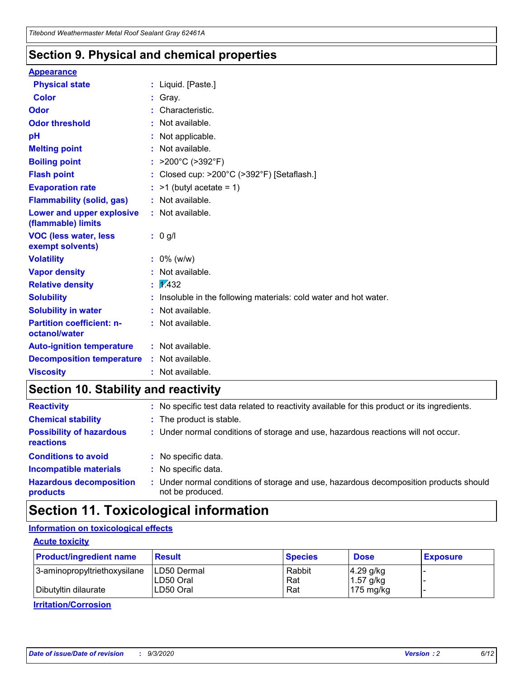### **Section 9. Physical and chemical properties**

#### **Appearance**

| <b>Physical state</b>                             | : Liquid. [Paste.]                                              |
|---------------------------------------------------|-----------------------------------------------------------------|
| <b>Color</b>                                      | Gray.                                                           |
| Odor                                              | Characteristic.                                                 |
| <b>Odor threshold</b>                             | Not available.                                                  |
| рH                                                | Not applicable.                                                 |
| <b>Melting point</b>                              | : Not available.                                                |
| <b>Boiling point</b>                              | >200°C (>392°F)                                                 |
| <b>Flash point</b>                                | Closed cup: >200°C (>392°F) [Setaflash.]                        |
| <b>Evaporation rate</b>                           | $:$ >1 (butyl acetate = 1)                                      |
| <b>Flammability (solid, gas)</b>                  | : Not available.                                                |
| Lower and upper explosive<br>(flammable) limits   | : Not available.                                                |
| <b>VOC (less water, less)</b><br>exempt solvents) | : 0 g/l                                                         |
| <b>Volatility</b>                                 | $: 0\%$ (w/w)                                                   |
| <b>Vapor density</b>                              | Not available.                                                  |
| <b>Relative density</b>                           | $\mathbf{1}$ $\mathbf{\sqrt{432}}$                              |
| <b>Solubility</b>                                 | Insoluble in the following materials: cold water and hot water. |
| <b>Solubility in water</b>                        | Not available.                                                  |
| <b>Partition coefficient: n-</b><br>octanol/water | $:$ Not available.                                              |
| <b>Auto-ignition temperature</b>                  | : Not available.                                                |
| <b>Decomposition temperature</b>                  | : Not available.                                                |
| <b>Viscosity</b>                                  | $:$ Not available.                                              |

### **Section 10. Stability and reactivity**

| <b>Reactivity</b>                            | : No specific test data related to reactivity available for this product or its ingredients.            |
|----------------------------------------------|---------------------------------------------------------------------------------------------------------|
| <b>Chemical stability</b>                    | : The product is stable.                                                                                |
| <b>Possibility of hazardous</b><br>reactions | : Under normal conditions of storage and use, hazardous reactions will not occur.                       |
| <b>Conditions to avoid</b>                   | : No specific data.                                                                                     |
| <b>Incompatible materials</b>                | : No specific data.                                                                                     |
| <b>Hazardous decomposition</b><br>products   | Under normal conditions of storage and use, hazardous decomposition products should<br>not be produced. |

### **Section 11. Toxicological information**

#### **Information on toxicological effects**

#### **Acute toxicity**

| <b>Product/ingredient name</b> | <b>Result</b>           | <b>Species</b> | <b>Dose</b>                | <b>Exposure</b> |
|--------------------------------|-------------------------|----------------|----------------------------|-----------------|
| 3-aminopropyltriethoxysilane   | <b>ILD50 Dermal</b>     | Rabbit         | 4.29 g/kg                  |                 |
| Dibutyltin dilaurate           | ILD50 Oral<br>LD50 Oral | Rat<br>Rat     | $1.57$ g/kg<br>175 $mg/kg$ |                 |
|                                |                         |                |                            |                 |

**Irritation/Corrosion**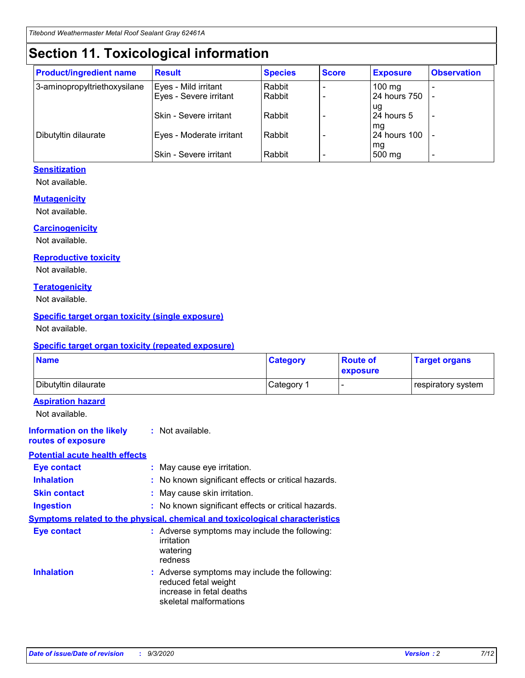# **Section 11. Toxicological information**

| <b>Product/ingredient name</b> | <b>Result</b>            | <b>Species</b> | <b>Score</b> | <b>Exposure</b>    | <b>Observation</b> |
|--------------------------------|--------------------------|----------------|--------------|--------------------|--------------------|
| 3-aminopropyltriethoxysilane   | Eyes - Mild irritant     | Rabbit         |              | $100 \text{ mg}$   |                    |
|                                | Eyes - Severe irritant   | Rabbit         |              | 24 hours 750       |                    |
|                                |                          |                |              | ug                 |                    |
|                                | Skin - Severe irritant   | Rabbit         |              | 24 hours 5         | -                  |
| Dibutyltin dilaurate           | Eyes - Moderate irritant | Rabbit         |              | mg<br>24 hours 100 |                    |
|                                |                          |                |              | mg                 |                    |
|                                | Skin - Severe irritant   | Rabbit         |              | 500 mg             | -                  |

#### **Sensitization**

Not available.

#### **Mutagenicity**

Not available.

#### **Carcinogenicity**

Not available.

#### **Reproductive toxicity**

Not available.

#### **Teratogenicity**

Not available.

#### **Specific target organ toxicity (single exposure)**

Not available.

#### **Specific target organ toxicity (repeated exposure)**

| <b>Name</b>                                                                  |                                                                                                                             | <b>Category</b>                                     | <b>Route of</b><br>exposure | <b>Target organs</b> |  |  |
|------------------------------------------------------------------------------|-----------------------------------------------------------------------------------------------------------------------------|-----------------------------------------------------|-----------------------------|----------------------|--|--|
| Dibutyltin dilaurate                                                         |                                                                                                                             | Category 1                                          | $\overline{\phantom{0}}$    | respiratory system   |  |  |
| <b>Aspiration hazard</b><br>Not available.                                   |                                                                                                                             |                                                     |                             |                      |  |  |
| <b>Information on the likely</b><br>routes of exposure                       | : Not available.                                                                                                            |                                                     |                             |                      |  |  |
| <b>Potential acute health effects</b>                                        |                                                                                                                             |                                                     |                             |                      |  |  |
| <b>Eye contact</b>                                                           |                                                                                                                             | : May cause eye irritation.                         |                             |                      |  |  |
| <b>Inhalation</b>                                                            |                                                                                                                             | : No known significant effects or critical hazards. |                             |                      |  |  |
| <b>Skin contact</b>                                                          |                                                                                                                             | : May cause skin irritation.                        |                             |                      |  |  |
| <b>Ingestion</b>                                                             |                                                                                                                             | : No known significant effects or critical hazards. |                             |                      |  |  |
| Symptoms related to the physical, chemical and toxicological characteristics |                                                                                                                             |                                                     |                             |                      |  |  |
| <b>Eye contact</b>                                                           | : Adverse symptoms may include the following:<br>irritation<br>watering<br>redness                                          |                                                     |                             |                      |  |  |
| <b>Inhalation</b>                                                            | : Adverse symptoms may include the following:<br>reduced fetal weight<br>increase in fetal deaths<br>skeletal malformations |                                                     |                             |                      |  |  |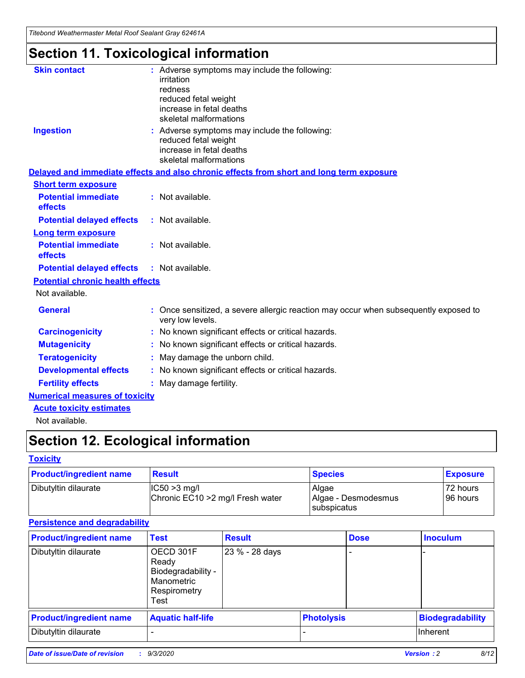*Titebond Weathermaster Metal Roof Sealant Gray 62461A*

# **Section 11. Toxicological information**

| <b>Skin contact</b>                     | : Adverse symptoms may include the following:<br>irritation                                                                 |  |
|-----------------------------------------|-----------------------------------------------------------------------------------------------------------------------------|--|
|                                         | redness                                                                                                                     |  |
|                                         | reduced fetal weight<br>increase in fetal deaths                                                                            |  |
|                                         | skeletal malformations                                                                                                      |  |
| <b>Ingestion</b>                        | : Adverse symptoms may include the following:<br>reduced fetal weight<br>increase in fetal deaths<br>skeletal malformations |  |
|                                         | Delayed and immediate effects and also chronic effects from short and long term exposure                                    |  |
| <b>Short term exposure</b>              |                                                                                                                             |  |
| <b>Potential immediate</b><br>effects   | : Not available.                                                                                                            |  |
| <b>Potential delayed effects</b>        | : Not available.                                                                                                            |  |
| <b>Long term exposure</b>               |                                                                                                                             |  |
| <b>Potential immediate</b><br>effects   | : Not available.                                                                                                            |  |
| <b>Potential delayed effects</b>        | : Not available.                                                                                                            |  |
| <b>Potential chronic health effects</b> |                                                                                                                             |  |
| Not available.                          |                                                                                                                             |  |
| <b>General</b>                          | : Once sensitized, a severe allergic reaction may occur when subsequently exposed to<br>very low levels.                    |  |
| <b>Carcinogenicity</b>                  | : No known significant effects or critical hazards.                                                                         |  |
| <b>Mutagenicity</b>                     | : No known significant effects or critical hazards.                                                                         |  |
| <b>Teratogenicity</b>                   | May damage the unborn child.                                                                                                |  |
| <b>Developmental effects</b>            | : No known significant effects or critical hazards.                                                                         |  |
| <b>Fertility effects</b>                | : May damage fertility.                                                                                                     |  |
| <b>Numerical measures of toxicity</b>   |                                                                                                                             |  |
| <b>Acute toxicity estimates</b>         |                                                                                                                             |  |
| والمادانون والملا                       |                                                                                                                             |  |

Not available.

# **Section 12. Ecological information**

#### **Toxicity**

| <b>Product/ingredient name</b> | <b>Result</b>                                       | <b>Species</b>               | <b>Exposure</b>       |
|--------------------------------|-----------------------------------------------------|------------------------------|-----------------------|
| Dibutyltin dilaurate           | $ CC50>3$ mg/l<br>Chronic EC10 > 2 mg/l Fresh water | Algae<br>Algae - Desmodesmus | 72 hours<br>196 hours |
|                                |                                                     | <b>I</b> subspicatus         |                       |

#### **Persistence and degradability**

| <b>Product/ingredient name</b> | <b>Test</b>                                                                    | <b>Result</b>  |                   | <b>Dose</b> | <b>Inoculum</b>         |
|--------------------------------|--------------------------------------------------------------------------------|----------------|-------------------|-------------|-------------------------|
| Dibutyltin dilaurate           | OECD 301F<br>Ready<br>Biodegradability -<br>Manometric<br>Respirometry<br>Test | 23 % - 28 days |                   |             |                         |
| <b>Product/ingredient name</b> | <b>Aquatic half-life</b>                                                       |                | <b>Photolysis</b> |             | <b>Biodegradability</b> |
| Dibutyltin dilaurate           |                                                                                |                |                   |             | <b>Inherent</b>         |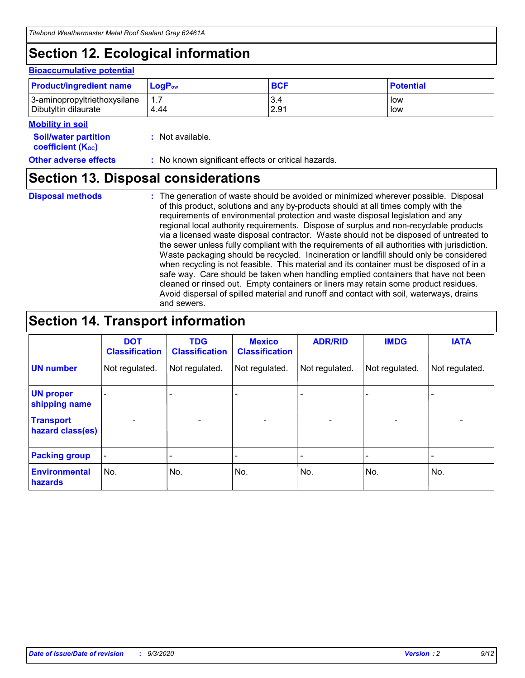# **Section 12. Ecological information**

#### **Bioaccumulative potential**

| <b>Product/ingredient name</b> | $LoaPow$ | <b>BCF</b> | <b>Potential</b> |
|--------------------------------|----------|------------|------------------|
| 3-aminopropyltriethoxysilane   | 1.7      | 3.4        | low              |
| Dibutyltin dilaurate           | 4.44     | 2.91       | low              |

#### **Mobility in soil**

| <b>Soil/water partition</b> | : Not available. |
|-----------------------------|------------------|
| <b>coefficient (Koc)</b>    |                  |

**Other adverse effects** : No known significant effects or critical hazards.

### **Section 13. Disposal considerations**

**Disposal methods :**

The generation of waste should be avoided or minimized wherever possible. Disposal of this product, solutions and any by-products should at all times comply with the requirements of environmental protection and waste disposal legislation and any regional local authority requirements. Dispose of surplus and non-recyclable products via a licensed waste disposal contractor. Waste should not be disposed of untreated to the sewer unless fully compliant with the requirements of all authorities with jurisdiction. Waste packaging should be recycled. Incineration or landfill should only be considered when recycling is not feasible. This material and its container must be disposed of in a safe way. Care should be taken when handling emptied containers that have not been cleaned or rinsed out. Empty containers or liners may retain some product residues. Avoid dispersal of spilled material and runoff and contact with soil, waterways, drains and sewers.

### **Section 14. Transport information**

|                                      | <b>DOT</b><br><b>Classification</b> | <b>TDG</b><br><b>Classification</b> | <b>Mexico</b><br><b>Classification</b> | <b>ADR/RID</b>               | <b>IMDG</b>              | <b>IATA</b>    |
|--------------------------------------|-------------------------------------|-------------------------------------|----------------------------------------|------------------------------|--------------------------|----------------|
| <b>UN number</b>                     | Not regulated.                      | Not regulated.                      | Not regulated.                         | Not regulated.               | Not regulated.           | Not regulated. |
| <b>UN proper</b><br>shipping name    |                                     |                                     |                                        |                              |                          |                |
| <b>Transport</b><br>hazard class(es) | $\overline{\phantom{m}}$            | $\overline{\phantom{0}}$            | $\qquad \qquad$                        | $\qquad \qquad \blacksquare$ | $\overline{\phantom{a}}$ |                |
| <b>Packing group</b>                 | $\qquad \qquad \blacksquare$        |                                     |                                        |                              |                          |                |
| <b>Environmental</b><br>hazards      | No.                                 | No.                                 | No.                                    | No.                          | No.                      | No.            |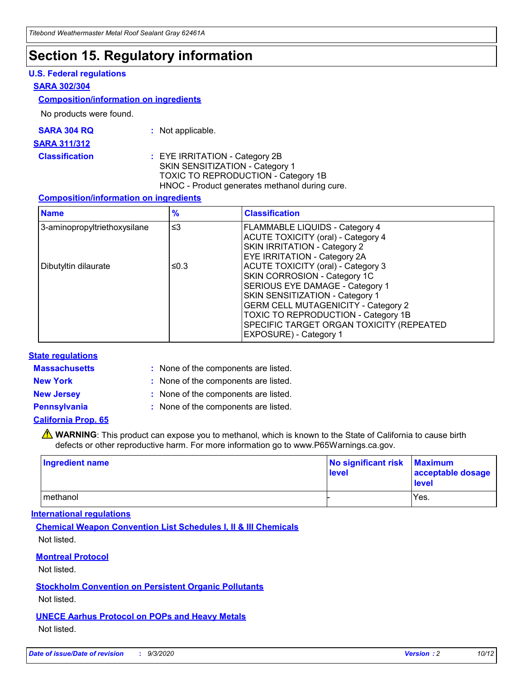### **Section 15. Regulatory information**

#### **U.S. Federal regulations**

#### **SARA 302/304**

#### **Composition/information on ingredients**

No products were found.

| SARA 304 RQ | Not applicable. |
|-------------|-----------------|
|-------------|-----------------|

#### **SARA 311/312**

#### **Classification :** EYE IRRITATION - Category 2B SKIN SENSITIZATION - Category 1 TOXIC TO REPRODUCTION - Category 1B HNOC - Product generates methanol during cure.

#### **Composition/information on ingredients**

| <b>Name</b>                  | $\frac{9}{6}$ | <b>Classification</b>                                                                                                                                                                                                                                                                                      |
|------------------------------|---------------|------------------------------------------------------------------------------------------------------------------------------------------------------------------------------------------------------------------------------------------------------------------------------------------------------------|
| 3-aminopropyltriethoxysilane | $\leq$ 3      | <b>FLAMMABLE LIQUIDS - Category 4</b><br><b>ACUTE TOXICITY (oral) - Category 4</b><br><b>SKIN IRRITATION - Category 2</b><br>EYE IRRITATION - Category 2A                                                                                                                                                  |
| Dibutyltin dilaurate         | ≤0.3          | <b>ACUTE TOXICITY (oral) - Category 3</b><br>SKIN CORROSION - Category 1C<br>SERIOUS EYE DAMAGE - Category 1<br>SKIN SENSITIZATION - Category 1<br><b>GERM CELL MUTAGENICITY - Category 2</b><br>TOXIC TO REPRODUCTION - Category 1B<br>SPECIFIC TARGET ORGAN TOXICITY (REPEATED<br>EXPOSURE) - Category 1 |

#### **State regulations**

**Massachusetts :**

: None of the components are listed.

**New York :** None of the components are listed.

**New Jersey :** None of the components are listed.

**Pennsylvania :** None of the components are listed.

#### **California Prop. 65**

WARNING: This product can expose you to methanol, which is known to the State of California to cause birth defects or other reproductive harm. For more information go to www.P65Warnings.ca.gov.

| Ingredient name | No significant risk<br>level | <b>Maximum</b><br>acceptable dosage<br>level |
|-----------------|------------------------------|----------------------------------------------|
| methanol        |                              | Yes.                                         |

#### **International regulations**

**Chemical Weapon Convention List Schedules I, II & III Chemicals** Not listed.

#### **Montreal Protocol**

Not listed.

**Stockholm Convention on Persistent Organic Pollutants**

Not listed.

#### **UNECE Aarhus Protocol on POPs and Heavy Metals** Not listed.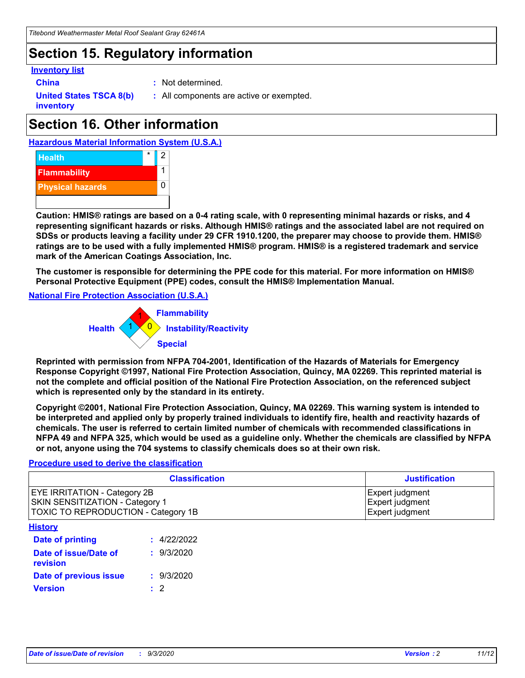### **Section 15. Regulatory information**

#### **Inventory list**

- 
- **China :** Not determined.

**United States TSCA 8(b) inventory**

**:** All components are active or exempted.

# **Section 16. Other information**





**Caution: HMIS® ratings are based on a 0-4 rating scale, with 0 representing minimal hazards or risks, and 4 representing significant hazards or risks. Although HMIS® ratings and the associated label are not required on SDSs or products leaving a facility under 29 CFR 1910.1200, the preparer may choose to provide them. HMIS® ratings are to be used with a fully implemented HMIS® program. HMIS® is a registered trademark and service mark of the American Coatings Association, Inc.**

**The customer is responsible for determining the PPE code for this material. For more information on HMIS® Personal Protective Equipment (PPE) codes, consult the HMIS® Implementation Manual.**

**National Fire Protection Association (U.S.A.)**



**Reprinted with permission from NFPA 704-2001, Identification of the Hazards of Materials for Emergency Response Copyright ©1997, National Fire Protection Association, Quincy, MA 02269. This reprinted material is not the complete and official position of the National Fire Protection Association, on the referenced subject which is represented only by the standard in its entirety.**

**Copyright ©2001, National Fire Protection Association, Quincy, MA 02269. This warning system is intended to be interpreted and applied only by properly trained individuals to identify fire, health and reactivity hazards of chemicals. The user is referred to certain limited number of chemicals with recommended classifications in NFPA 49 and NFPA 325, which would be used as a guideline only. Whether the chemicals are classified by NFPA or not, anyone using the 704 systems to classify chemicals does so at their own risk.**

#### **Procedure used to derive the classification**

| <b>Classification</b>                                                                                                | <b>Justification</b>                                  |
|----------------------------------------------------------------------------------------------------------------------|-------------------------------------------------------|
| <b>EYE IRRITATION - Category 2B</b><br><b>SKIN SENSITIZATION - Category 1</b><br>TOXIC TO REPRODUCTION - Category 1B | Expert judgment<br>Expert judgment<br>Expert judgment |
| <b>History</b>                                                                                                       |                                                       |

| Date of printing                  | : 4/22/2022 |
|-----------------------------------|-------------|
| Date of issue/Date of<br>revision | : 9/3/2020  |
| Date of previous issue            | : 9/3/2020  |
| <b>Version</b>                    | $\cdot$ 2   |
|                                   |             |